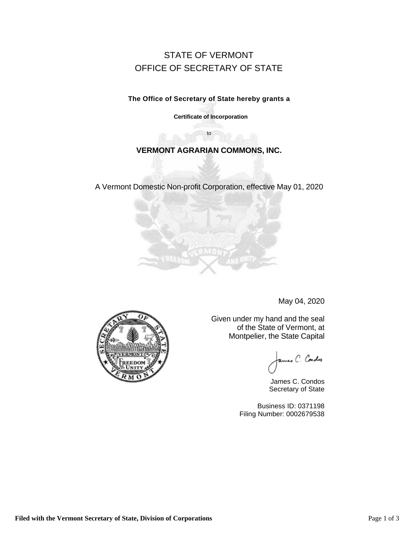# STATE OF VERMONT OFFICE OF SECRETARY OF STATE

**The Office of Secretary of State hereby grants a** 

**Certificate of Incorporation**

## **VERMONT AGRARIAN COMMONS, INC.**

to

A Vermont Domestic Non-profit Corporation, effective May 01, 2020



May 04, 2020

Given under my hand and the seal of the State of Vermont, at Montpelier, the State Capital

ames C. Cordes

James C. Condos Secretary of State

Business ID: 0371198 Filing Number: 0002679538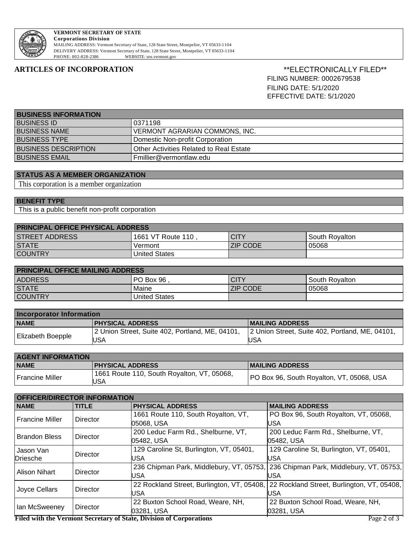

### **VERMONT SECRETARY OF STATE Corporations Division**

MAILING ADDRESS: Vermont Secretary of State, 128 State Street, Montpelier, VT 05633-1104 DELIVERY ADDRESS: Vermont Secretary of State, 128 State Street, Montpelier, VT 05633-1104 WEBSITE: sos.vermont.gov

### **ARTICLES OF INCORPORATION** \*\*ELECTRONICALLY FILED\*\* FILING NUMBER: 0002679538 FILING DATE: 5/1/2020 EFFECTIVE DATE: 5/1/2020

| <b>BUSINESS INFORMATION</b> |                                         |  |
|-----------------------------|-----------------------------------------|--|
| I BUSINESS ID               | 0371198                                 |  |
| <b>BUSINESS NAME</b>        | I VERMONT AGRARIAN COMMONS. INC.        |  |
| <b>BUSINESS TYPE</b>        | Domestic Non-profit Corporation         |  |
| <b>BUSINESS DESCRIPTION</b> | Other Activities Related to Real Estate |  |
| <b>BUSINESS EMAIL</b>       | Fmillier@vermontlaw.edu                 |  |

### **STATUS AS A MEMBER ORGANIZATION**

This corporation is a member organization

### **BENEFIT TYPE**

This is a public benefit non-profit corporation

| <b>PRINCIPAL OFFICE PHYSICAL ADDRESS</b> |                   |                 |                  |
|------------------------------------------|-------------------|-----------------|------------------|
| <b>STREET ADDRESS</b>                    | 1661 VT Route 110 | <b>CITY</b>     | l South Rovalton |
| <b>STATE</b>                             | Vermont           | <b>ZIP CODE</b> | 05068            |
| <b>COUNTRY</b>                           | United States     |                 |                  |

| <b>PRINCIPAL OFFICE MAILING ADDRESS</b> |               |                 |                |
|-----------------------------------------|---------------|-----------------|----------------|
| <b>ADDRESS</b>                          | PO Box 96     | <b>CITY</b>     | South Rovalton |
| <b>STATE</b>                            | Maine         | <b>ZIP CODE</b> | 05068          |
| <b>COUNTRY</b>                          | United States |                 |                |

| <b>Incorporator Information</b> |                                                 |                                                 |  |
|---------------------------------|-------------------------------------------------|-------------------------------------------------|--|
| <b>NAME</b>                     | <b>PHYSICAL ADDRESS</b>                         | <b>IMAILING ADDRESS</b>                         |  |
| <b>Elizabeth Boepple</b>        | 2 Union Street, Suite 402, Portland, ME, 04101, | 2 Union Street, Suite 402, Portland, ME, 04101, |  |
|                                 | <b>USA</b>                                      | <b>USA</b>                                      |  |

| <b>AGENT INFORMATION</b> |                                                   |                                           |
|--------------------------|---------------------------------------------------|-------------------------------------------|
| <b>NAME</b>              | <b>PHYSICAL ADDRESS</b>                           | <b>IMAILING ADDRESS</b>                   |
| Francine Miller          | 1661 Route 110, South Royalton, VT, 05068,<br>USA | PO Box 96, South Royalton, VT, 05068, USA |

| <b>OFFICER/DIRECTOR INFORMATION</b> |                                         |                                                                     |                                                                                       |
|-------------------------------------|-----------------------------------------|---------------------------------------------------------------------|---------------------------------------------------------------------------------------|
| <b>NAME</b>                         | <b>TITLE</b>                            | <b>PHYSICAL ADDRESS</b>                                             | <b>MAILING ADDRESS</b>                                                                |
| <b>Francine Miller</b>              |                                         | 1661 Route 110, South Royalton, VT,                                 | PO Box 96, South Royalton, VT, 05068,                                                 |
|                                     | Director                                | 05068, USA                                                          | USA                                                                                   |
| <b>Brandon Bless</b><br>Director    |                                         | 200 Leduc Farm Rd., Shelburne, VT,                                  | 200 Leduc Farm Rd., Shelburne, VT,                                                    |
|                                     |                                         | 05482, USA                                                          | 05482. USA                                                                            |
| Jason Van<br>Director<br>Driesche   | 129 Caroline St, Burlington, VT, 05401, | 129 Caroline St, Burlington, VT, 05401,                             |                                                                                       |
|                                     |                                         | USA                                                                 | USA                                                                                   |
| Alison Nihart<br>Director           |                                         |                                                                     | 236 Chipman Park, Middlebury, VT, 05753, 236 Chipman Park, Middlebury, VT, 05753,     |
|                                     |                                         | USA                                                                 | USA                                                                                   |
| Joyce Cellars<br>Director           |                                         |                                                                     | 22 Rockland Street, Burlington, VT, 05408, 22 Rockland Street, Burlington, VT, 05408, |
|                                     |                                         | USA                                                                 | USA                                                                                   |
| lan McSweeney                       | Director                                | 22 Buxton School Road, Weare, NH,                                   | 22 Buxton School Road, Weare, NH,                                                     |
|                                     |                                         | 03281. USA                                                          | 03281, USA                                                                            |
|                                     |                                         | Eiled with the Verment Constant of Ctate. Division of Comparations. | $D_{0.02}$ $2.67$                                                                     |

**Filed with the Vermont Secretary of State, Division of Corporations** Page 2 of 3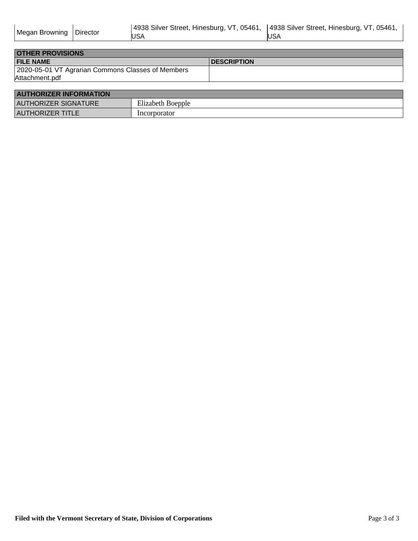| Megan Browning   Director |  | 4938 Silver Street, Hinesburg, VT, 05461,  4938 Silver Street, Hinesburg, VT, 05461, |     |
|---------------------------|--|--------------------------------------------------------------------------------------|-----|
|                           |  | <b>USA</b>                                                                           | USA |

| <b>OTHER PROVISIONS</b>                           |                     |
|---------------------------------------------------|---------------------|
| <b>FILE NAME</b>                                  | <b>IDESCRIPTION</b> |
| 2020-05-01 VT Agrarian Commons Classes of Members |                     |
| Attachment.pdf                                    |                     |

| <b>AUTHORIZER INFORMATION</b> |                   |  |
|-------------------------------|-------------------|--|
| <b>AUTHORIZER SIGNATURE</b>   | Elizabeth Boepple |  |
| <b>AUTHORIZER TITLE</b>       | Incorporator      |  |